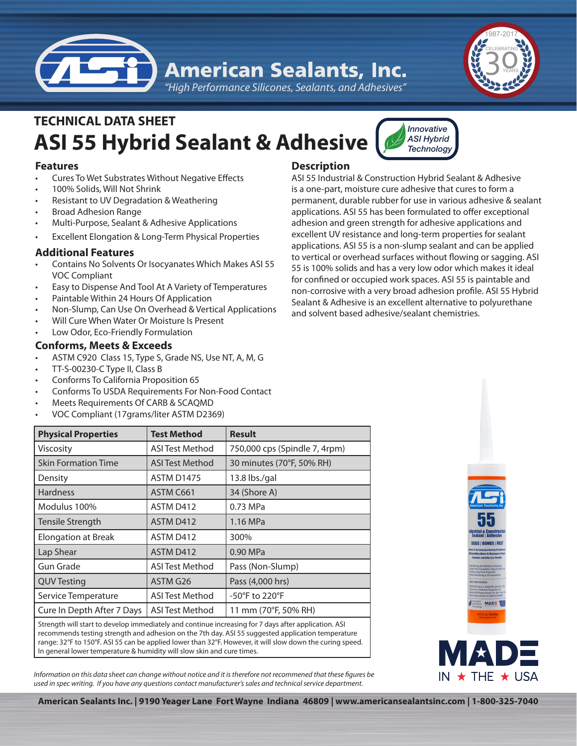**American Sealants, Inc.** 

*"High Performance Silicones, Sealants, and Adhesives"*



# **ASI 55 Hybrid Sealant & Adhesive TECHNICAL DATA SHEET**



- **Cures To Wet Substrates Without Negative Effects**
- 100% Solids, Will Not Shrink
- Resistant to UV Degradation & Weathering
- **Broad Adhesion Range**
- Multi-Purpose, Sealant & Adhesive Applications
- **Excellent Elongation & Long-Term Physical Properties**

# **Additional Features**

- Contains No Solvents Or Isocyanates Which Makes ASI 55 VOC Compliant
- Easy to Dispense And Tool At A Variety of Temperatures
- Paintable Within 24 Hours Of Application
- Non-Slump, Can Use On Overhead & Vertical Applications
- Will Cure When Water Or Moisture Is Present
- Low Odor, Eco-Friendly Formulation

# **Conforms, Meets & Exceeds**

- ASTM C920 Class 15, Type S, Grade NS, Use NT, A, M, G
- TT-S-00230-C Type II, Class B
- Conforms To California Proposition 65
- Conforms To USDA Requirements For Non-Food Contact
- Meets Requirements Of CARB & SCAQMD
- VOC Compliant (17grams/liter ASTM D2369)

## **Description**

ASI 55 Industrial & Construction Hybrid Sealant & Adhesive is a one-part, moisture cure adhesive that cures to form a permanent, durable rubber for use in various adhesive & sealant applications. ASI 55 has been formulated to offer exceptional adhesion and green strength for adhesive applications and excellent UV resistance and long-term properties for sealant applications. ASI 55 is a non-slump sealant and can be applied to vertical or overhead surfaces without flowing or sagging. ASI 55 is 100% solids and has a very low odor which makes it ideal for confined or occupied work spaces. ASI 55 is paintable and non-corrosive with a very broad adhesion profile. ASI 55 Hybrid Sealant & Adhesive is an excellent alternative to polyurethane and solvent based adhesive/sealant chemistries.

*Innovative ASI Hybrid Technology*

| <b>Physical Properties</b>                                                                           | <b>Test Method</b>     | <b>Result</b>                 |
|------------------------------------------------------------------------------------------------------|------------------------|-------------------------------|
| Viscosity                                                                                            | <b>ASI Test Method</b> | 750,000 cps (Spindle 7, 4rpm) |
| <b>Skin Formation Time</b>                                                                           | ASI Test Method        | 30 minutes (70°F, 50% RH)     |
| Density                                                                                              | <b>ASTM D1475</b>      | $13.8$ lbs./gal               |
| <b>Hardness</b>                                                                                      | ASTM C661              | 34 (Shore A)                  |
| Modulus 100%                                                                                         | ASTM D412              | 0.73 MPa                      |
| Tensile Strength                                                                                     | ASTM D412              | 1.16 MPa                      |
| <b>Elongation at Break</b>                                                                           | ASTM D412              | 300%                          |
| Lap Shear                                                                                            | ASTM D412              | 0.90 MPa                      |
| Gun Grade                                                                                            | <b>ASI Test Method</b> | Pass (Non-Slump)              |
| <b>QUV Testing</b>                                                                                   | ASTM G26               | Pass (4,000 hrs)              |
| Service Temperature                                                                                  | <b>ASI Test Method</b> | -50°F to 220°F                |
| Cure In Depth After 7 Days                                                                           | <b>ASI Test Method</b> | 11 mm (70°F, 50% RH)          |
| Ctronath will start to dovelop immediately and continue increasing for 7 days after anolication. ACL |                        |                               |

Strength will start to develop immediately and continue increasing for 7 days after application. ASI recommends testing strength and adhesion on the 7th day. ASI 55 suggested application temperature range: 32°F to 150°F. ASI 55 can be applied lower than 32°F. However, it will slow down the curing speed. In general lower temperature & humidity will slow skin and cure times.

*Information on this data sheet can change without notice and it is therefore not recommened that these figures be used in spec writing. If you have any questions contact manufacturer's sales and technical service department.*



**American Sealants Inc. | 9190 Yeager Lane Fort Wayne Indiana 46809 | www.americansealantsinc.com | 1-800-325-7040**